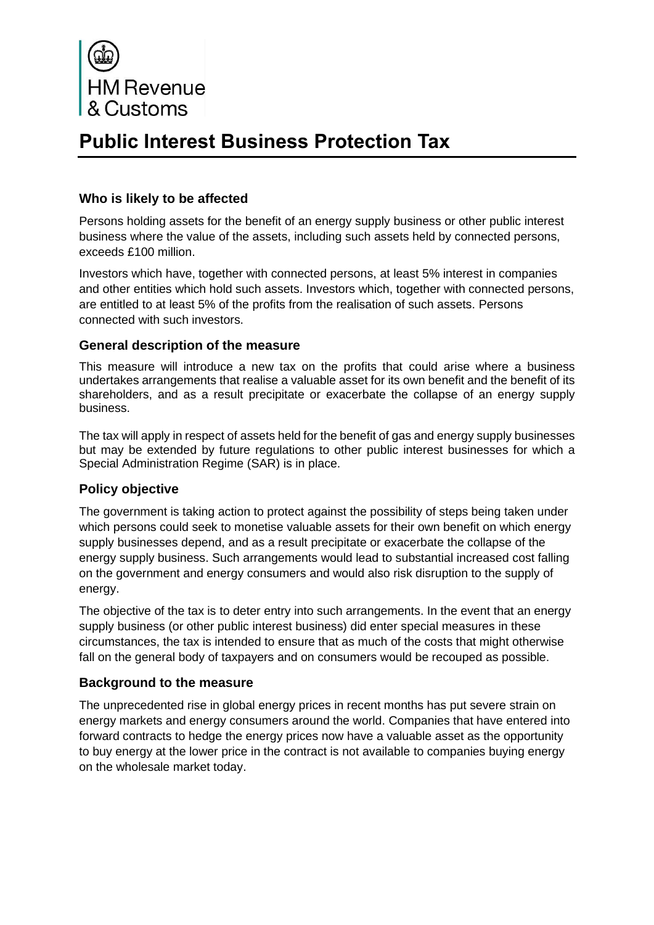

# **Public Interest Business Protection Tax**

# **Who is likely to be affected**

Persons holding assets for the benefit of an energy supply business or other public interest business where the value of the assets, including such assets held by connected persons, exceeds £100 million.

Investors which have, together with connected persons, at least 5% interest in companies and other entities which hold such assets. Investors which, together with connected persons, are entitled to at least 5% of the profits from the realisation of such assets. Persons connected with such investors.

## **General description of the measure**

This measure will introduce a new tax on the profits that could arise where a business undertakes arrangements that realise a valuable asset for its own benefit and the benefit of its shareholders, and as a result precipitate or exacerbate the collapse of an energy supply business.

The tax will apply in respect of assets held for the benefit of gas and energy supply businesses but may be extended by future regulations to other public interest businesses for which a Special Administration Regime (SAR) is in place.

# **Policy objective**

The government is taking action to protect against the possibility of steps being taken under which persons could seek to monetise valuable assets for their own benefit on which energy supply businesses depend, and as a result precipitate or exacerbate the collapse of the energy supply business. Such arrangements would lead to substantial increased cost falling on the government and energy consumers and would also risk disruption to the supply of energy.

The objective of the tax is to deter entry into such arrangements. In the event that an energy supply business (or other public interest business) did enter special measures in these circumstances, the tax is intended to ensure that as much of the costs that might otherwise fall on the general body of taxpayers and on consumers would be recouped as possible.

## **Background to the measure**

The unprecedented rise in global energy prices in recent months has put severe strain on energy markets and energy consumers around the world. Companies that have entered into forward contracts to hedge the energy prices now have a valuable asset as the opportunity to buy energy at the lower price in the contract is not available to companies buying energy on the wholesale market today.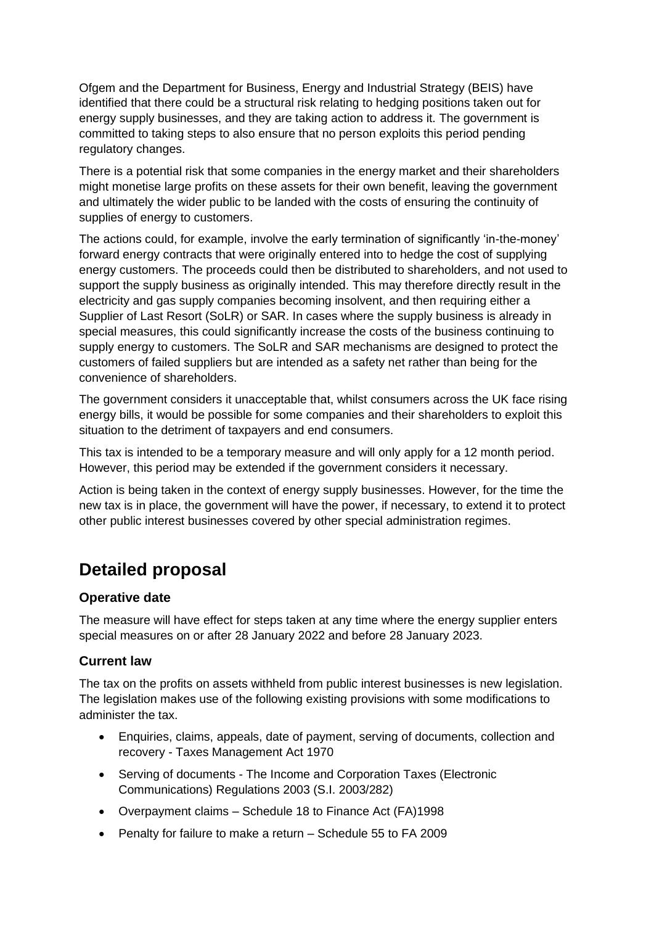Ofgem and the Department for Business, Energy and Industrial Strategy (BEIS) have identified that there could be a structural risk relating to hedging positions taken out for energy supply businesses, and they are taking action to address it. The government is committed to taking steps to also ensure that no person exploits this period pending regulatory changes.

There is a potential risk that some companies in the energy market and their shareholders might monetise large profits on these assets for their own benefit, leaving the government and ultimately the wider public to be landed with the costs of ensuring the continuity of supplies of energy to customers.

The actions could, for example, involve the early termination of significantly 'in-the-money' forward energy contracts that were originally entered into to hedge the cost of supplying energy customers. The proceeds could then be distributed to shareholders, and not used to support the supply business as originally intended. This may therefore directly result in the electricity and gas supply companies becoming insolvent, and then requiring either a Supplier of Last Resort (SoLR) or SAR. In cases where the supply business is already in special measures, this could significantly increase the costs of the business continuing to supply energy to customers. The SoLR and SAR mechanisms are designed to protect the customers of failed suppliers but are intended as a safety net rather than being for the convenience of shareholders.

The government considers it unacceptable that, whilst consumers across the UK face rising energy bills, it would be possible for some companies and their shareholders to exploit this situation to the detriment of taxpayers and end consumers.

This tax is intended to be a temporary measure and will only apply for a 12 month period. However, this period may be extended if the government considers it necessary.

Action is being taken in the context of energy supply businesses. However, for the time the new tax is in place, the government will have the power, if necessary, to extend it to protect other public interest businesses covered by other special administration regimes.

# **Detailed proposal**

## **Operative date**

The measure will have effect for steps taken at any time where the energy supplier enters special measures on or after 28 January 2022 and before 28 January 2023.

# **Current law**

The tax on the profits on assets withheld from public interest businesses is new legislation. The legislation makes use of the following existing provisions with some modifications to administer the tax.

- Enquiries, claims, appeals, date of payment, serving of documents, collection and recovery - Taxes Management Act 1970
- Serving of documents The Income and Corporation Taxes (Electronic Communications) Regulations 2003 (S.I. 2003/282)
- Overpayment claims Schedule 18 to Finance Act (FA)1998
- Penalty for failure to make a return Schedule 55 to FA 2009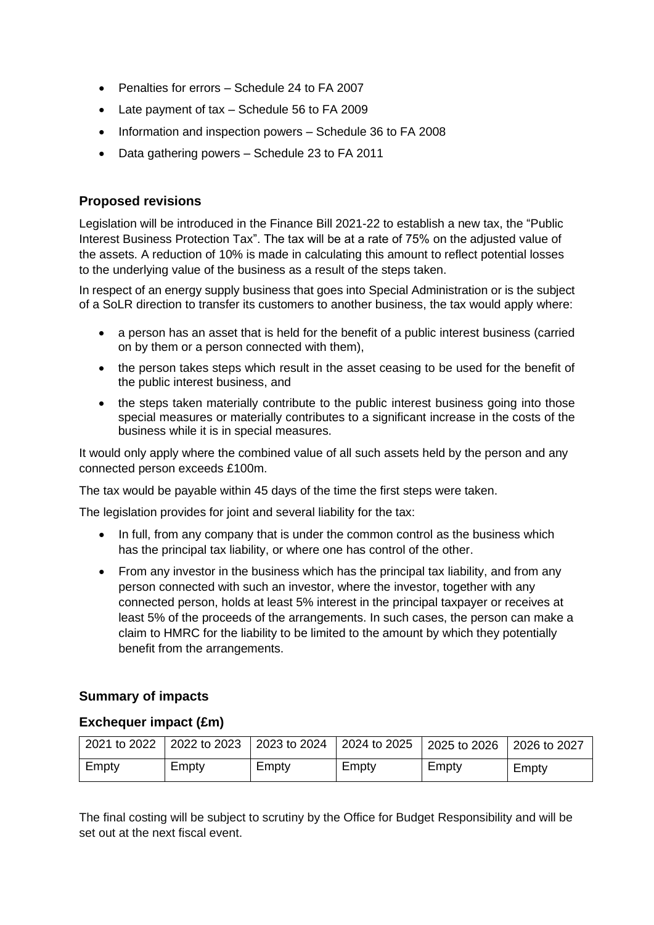- Penalties for errors Schedule 24 to FA 2007
- Late payment of tax Schedule 56 to FA 2009
- Information and inspection powers Schedule 36 to FA 2008
- Data gathering powers Schedule 23 to FA 2011

# **Proposed revisions**

Legislation will be introduced in the Finance Bill 2021-22 to establish a new tax, the "Public Interest Business Protection Tax". The tax will be at a rate of 75% on the adjusted value of the assets. A reduction of 10% is made in calculating this amount to reflect potential losses to the underlying value of the business as a result of the steps taken.

In respect of an energy supply business that goes into Special Administration or is the subject of a SoLR direction to transfer its customers to another business, the tax would apply where:

- a person has an asset that is held for the benefit of a public interest business (carried on by them or a person connected with them),
- the person takes steps which result in the asset ceasing to be used for the benefit of the public interest business, and
- the steps taken materially contribute to the public interest business going into those special measures or materially contributes to a significant increase in the costs of the business while it is in special measures.

It would only apply where the combined value of all such assets held by the person and any connected person exceeds £100m.

The tax would be payable within 45 days of the time the first steps were taken.

The legislation provides for joint and several liability for the tax:

- In full, from any company that is under the common control as the business which has the principal tax liability, or where one has control of the other.
- From any investor in the business which has the principal tax liability, and from any person connected with such an investor, where the investor, together with any connected person, holds at least 5% interest in the principal taxpayer or receives at least 5% of the proceeds of the arrangements. In such cases, the person can make a claim to HMRC for the liability to be limited to the amount by which they potentially benefit from the arrangements.

## **Summary of impacts**

#### **Exchequer impact (£m)**

|       |       | 2021 to 2022 2022 to 2023 2023 to 2024 2024 to 2025 2025 to 2026 2026 to 2027 |       |       |       |
|-------|-------|-------------------------------------------------------------------------------|-------|-------|-------|
| Empty | Empty | Empty                                                                         | Empty | Empty | Empty |

The final costing will be subject to scrutiny by the Office for Budget Responsibility and will be set out at the next fiscal event.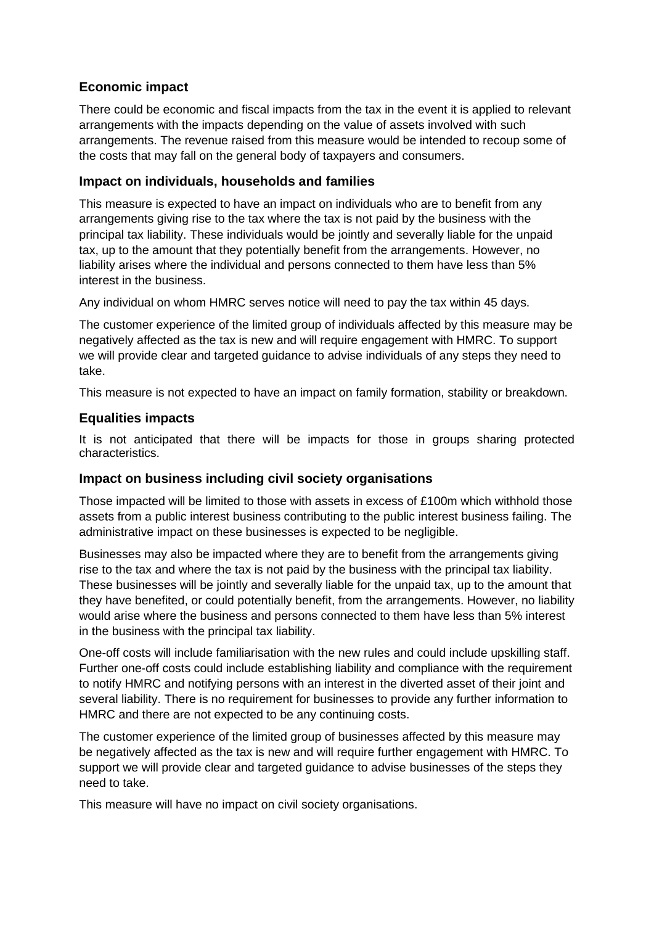# **Economic impact**

There could be economic and fiscal impacts from the tax in the event it is applied to relevant arrangements with the impacts depending on the value of assets involved with such arrangements. The revenue raised from this measure would be intended to recoup some of the costs that may fall on the general body of taxpayers and consumers.

## **Impact on individuals, households and families**

This measure is expected to have an impact on individuals who are to benefit from any arrangements giving rise to the tax where the tax is not paid by the business with the principal tax liability. These individuals would be jointly and severally liable for the unpaid tax, up to the amount that they potentially benefit from the arrangements. However, no liability arises where the individual and persons connected to them have less than 5% interest in the business.

Any individual on whom HMRC serves notice will need to pay the tax within 45 days.

The customer experience of the limited group of individuals affected by this measure may be negatively affected as the tax is new and will require engagement with HMRC. To support we will provide clear and targeted guidance to advise individuals of any steps they need to take.

This measure is not expected to have an impact on family formation, stability or breakdown.

#### **Equalities impacts**

It is not anticipated that there will be impacts for those in groups sharing protected characteristics.

#### **Impact on business including civil society organisations**

Those impacted will be limited to those with assets in excess of £100m which withhold those assets from a public interest business contributing to the public interest business failing. The administrative impact on these businesses is expected to be negligible.

Businesses may also be impacted where they are to benefit from the arrangements giving rise to the tax and where the tax is not paid by the business with the principal tax liability. These businesses will be jointly and severally liable for the unpaid tax, up to the amount that they have benefited, or could potentially benefit, from the arrangements. However, no liability would arise where the business and persons connected to them have less than 5% interest in the business with the principal tax liability.

One-off costs will include familiarisation with the new rules and could include upskilling staff. Further one-off costs could include establishing liability and compliance with the requirement to notify HMRC and notifying persons with an interest in the diverted asset of their joint and several liability. There is no requirement for businesses to provide any further information to HMRC and there are not expected to be any continuing costs.

The customer experience of the limited group of businesses affected by this measure may be negatively affected as the tax is new and will require further engagement with HMRC. To support we will provide clear and targeted guidance to advise businesses of the steps they need to take.

This measure will have no impact on civil society organisations.